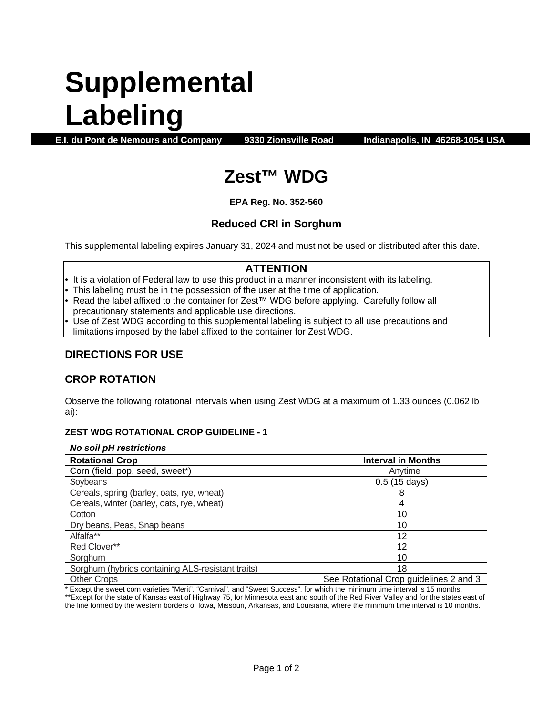# **Supplemental Labeling**

**E.I. du Pont de Nemours and Company 9330 Zionsville Road Indianapolis, IN 46268-1054 USA**

# **Zest™ WDG**

**EPA Reg. No. 352-560**

# **Reduced CRI in Sorghum**

This supplemental labeling expires January 31, 2024 and must not be used or distributed after this date.

# **ATTENTION**

- It is a violation of Federal law to use this product in a manner inconsistent with its labeling.
- This labeling must be in the possession of the user at the time of application.
- Read the label affixed to the container for Zest™ WDG before applying. Carefully follow all precautionary statements and applicable use directions.
- Use of Zest WDG according to this supplemental labeling is subject to all use precautions and limitations imposed by the label affixed to the container for Zest WDG.

## **DIRECTIONS FOR USE**

### **CROP ROTATION**

Observe the following rotational intervals when using Zest WDG at a maximum of 1.33 ounces (0.062 lb ai):

#### **ZEST WDG ROTATIONAL CROP GUIDELINE - 1**

#### *No soil pH restrictions*

| <b>Rotational Crop</b>                            | <b>Interval in Months</b>              |
|---------------------------------------------------|----------------------------------------|
| Corn (field, pop, seed, sweet*)                   | Anvtime                                |
| Soybeans                                          | $0.5(15 \text{ days})$                 |
| Cereals, spring (barley, oats, rye, wheat)        |                                        |
| Cereals, winter (barley, oats, rye, wheat)        |                                        |
| Cotton                                            | 10                                     |
| Dry beans, Peas, Snap beans                       | 10                                     |
| Alfalfa**                                         | 12                                     |
| Red Clover**                                      | 12                                     |
| Sorghum                                           | 10                                     |
| Sorghum (hybrids containing ALS-resistant traits) | 18                                     |
| Other Crope                                       | See Rotational Cron quidelines 2 and 3 |

other Crops See Rotational Crop guidelines 2 and 3 \* Except the sweet corn varieties "Merit", "Carnival", and "Sweet Success", for which the minimum time interval is 15 months.

\*\*Except for the state of Kansas east of Highway 75, for Minnesota east and south of the Red River Valley and for the states east of the line formed by the western borders of Iowa, Missouri, Arkansas, and Louisiana, where the minimum time interval is 10 months.